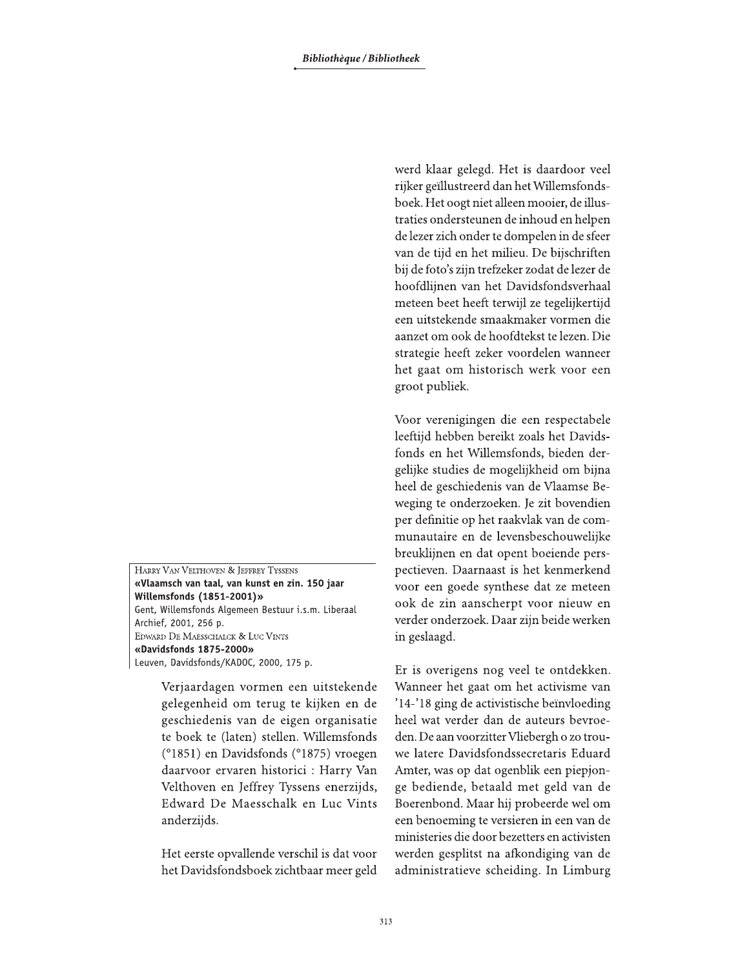HARRY VAN VELTHOVEN & JEFFREY TYSSENS «Vlaamsch van taal, van kunst en zin. 150 jaar Willemsfonds (1851-2001)» Gent, Willemsfonds Algemeen Bestuur i.s.m. Liberaal Archief, 2001, 256 p. EDWARD DE MAESSCHALCK & LUC VINTS «Davidsfonds 1875-2000» Leuven, Davidsfonds/KADOC, 2000, 175 p.

> Verjaardagen vormen een uitstekende gelegenheid om terug te kijken en de geschiedenis van de eigen organisatie te boek te (laten) stellen. Willemsfonds (°1851) en Davidsfonds (°1875) vroegen daarvoor ervaren historici : Harry Van Velthoven en Jeffrey Tyssens enerzijds, Edward De Maesschalk en Luc Vints anderzijds.

> Het eerste opvallende verschil is dat voor het Davidsfondsboek zichtbaar meer geld

werd klaar gelegd. Het is daardoor veel rijker geïllustreerd dan het Willemsfondsboek. Het oogt niet alleen mooier, de illustraties ondersteunen de inhoud en helpen de lezer zich onder te dompelen in de sfeer van de tijd en het milieu. De bijschriften bij de foto's zijn trefzeker zodat de lezer de hoofdlijnen van het Davidsfondsverhaal meteen beet heeft terwijl ze tegelijkertijd een uitstekende smaakmaker vormen die aanzet om ook de hoofdtekst te lezen. Die strategie heeft zeker voordelen wanneer het gaat om historisch werk voor een groot publiek.

Voor verenigingen die een respectabele leeftijd hebben bereikt zoals het Davidsfonds en het Willemsfonds, bieden dergelijke studies de mogelijkheid om bijna heel de geschiedenis van de Vlaamse Beweging te onderzoeken. Je zit bovendien per definitie op het raakvlak van de communautaire en de levensbeschouwelijke breuklijnen en dat opent boeiende perspectieven. Daarnaast is het kenmerkend voor een goede synthese dat ze meteen ook de zin aanscherpt voor nieuw en verder onderzoek. Daar zijn beide werken in geslaagd.

Er is overigens nog veel te ontdekken. Wanneer het gaat om het activisme van '14-'18 ging de activistische beïnvloeding heel wat verder dan de auteurs bevroeden. De aan voorzitter Vliebergh o zo trouwe latere Davidsfondssecretaris Eduard Amter, was op dat ogenblik een piepjonge bediende, betaald met geld van de Boerenbond. Maar hij probeerde wel om een benoeming te versieren in een van de ministeries die door bezetters en activisten werden gesplitst na afkondiging van de administratieve scheiding. In Limburg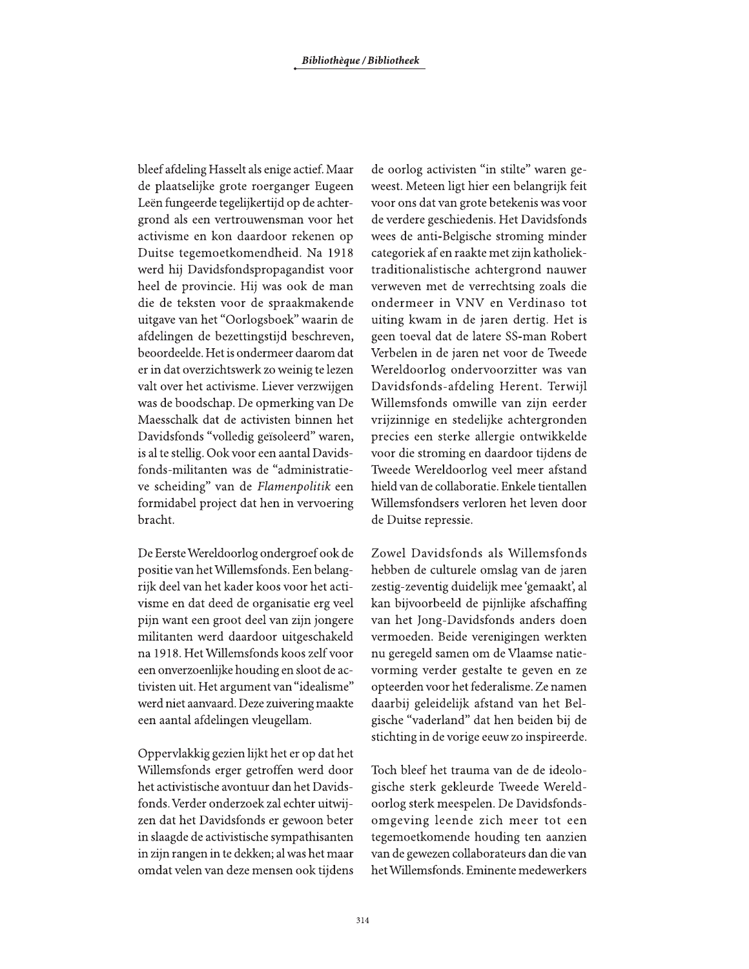bleef afdeling Hasselt als enige actief. Maar de plaatselijke grote roerganger Eugeen Leën fungeerde tegelijkertijd op de achtergrond als een vertrouwensman voor het activisme en kon daardoor rekenen op Duitse tegemoetkomendheid. Na 1918 werd hij Davidsfondspropagandist voor heel de provincie. Hij was ook de man die de teksten voor de spraakmakende uitgave van het "Oorlogsboek" waarin de afdelingen de bezettingstijd beschreven, beoordeelde. Het is ondermeer daarom dat er in dat overzichtswerk zo weinig te lezen valt over het activisme. Liever verzwijgen was de boodschap. De opmerking van De Maesschalk dat de activisten binnen het Davidsfonds "volledig geïsoleerd" waren, is al te stellig. Ook voor een aantal Davidsfonds-militanten was de "administratieve scheiding" van de Flamenpolitik een formidabel project dat hen in vervoering bracht.

De Eerste Wereldoorlog ondergroef ook de positie van het Willemsfonds. Een belangrijk deel van het kader koos voor het activisme en dat deed de organisatie erg veel pijn want een groot deel van zijn jongere militanten werd daardoor uitgeschakeld na 1918. Het Willemsfonds koos zelf voor een onverzoenlijke houding en sloot de activisten uit. Het argument van "idealisme" werd niet aanvaard. Deze zuivering maakte een aantal afdelingen vleugellam.

Oppervlakkig gezien lijkt het er op dat het Willemsfonds erger getroffen werd door het activistische avontuur dan het Davidsfonds. Verder onderzoek zal echter uitwijzen dat het Davidsfonds er gewoon beter in slaagde de activistische sympathisanten in zijn rangen in te dekken; al was het maar omdat velen van deze mensen ook tijdens de oorlog activisten "in stilte" waren geweest. Meteen ligt hier een belangrijk feit voor ons dat van grote betekenis was voor de verdere geschiedenis. Het Davidsfonds wees de anti-Belgische stroming minder categoriek af en raakte met zijn katholiektraditionalistische achtergrond nauwer verweven met de verrechtsing zoals die ondermeer in VNV en Verdinaso tot uiting kwam in de jaren dertig. Het is geen toeval dat de latere SS-man Robert Verbelen in de jaren net voor de Tweede Wereldoorlog ondervoorzitter was van Davidsfonds-afdeling Herent. Terwijl Willemsfonds omwille van zijn eerder vrijzinnige en stedelijke achtergronden precies een sterke allergie ontwikkelde voor die stroming en daardoor tijdens de Tweede Wereldoorlog veel meer afstand hield van de collaboratie. Enkele tientallen Willemsfondsers verloren het leven door de Duitse repressie.

Zowel Davidsfonds als Willemsfonds hebben de culturele omslag van de jaren zestig-zeventig duidelijk mee 'gemaakt', al kan bijvoorbeeld de pijnlijke afschaffing van het Jong-Davidsfonds anders doen vermoeden. Beide verenigingen werkten nu geregeld samen om de Vlaamse natievorming verder gestalte te geven en ze opteerden voor het federalisme. Ze namen daarbij geleidelijk afstand van het Belgische "vaderland" dat hen beiden bij de stichting in de vorige eeuw zo inspireerde.

Toch bleef het trauma van de de ideologische sterk gekleurde Tweede Wereldoorlog sterk meespelen. De Davidsfondsomgeving leende zich meer tot een tegemoetkomende houding ten aanzien van de gewezen collaborateurs dan die van het Willemsfonds. Eminente medewerkers